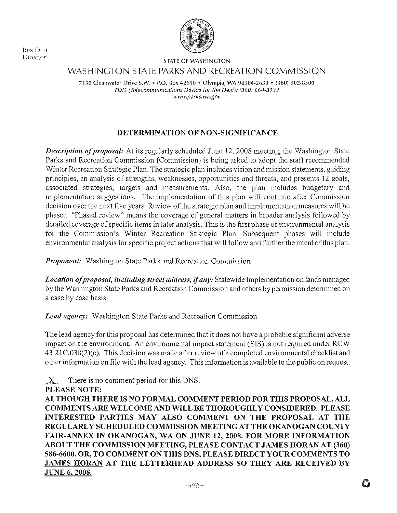Rex Derr Director



STATE OF WASHINCTON

WASHINCTON STATE PARKS AND RECREATION COMMISSION

7150 Cleanwater Drive S.W. • P.O. Box 42650 • Olympia, WA 98504-2650 • (360) 902-8500 TDD (Telecommunications Device for the Deaf): (360) 664-3133 www.parks.wa.gov

# DETERMINATION OF NON-SIGNIFICANCE

Description of proposal: At its regularly scheduled June 12, 2008 meeting, the Washington State Parks and Recreation Commission (Commission) is being asked to adopt the staff recommended 'Winter Recreation Strategic Plan. The strategic plan includes vision and mission statements, guiding principles, an analysis of strengths, weaknesses, opportunities and threats, and presents 12 goals, associated strategies, targets and measurements. Also, the plan includes budgetary and implementation suggestions. The implementation of this plan will continue after Commission decision over the next five years. Review of the strategic plan and implementation measures will be phased. "Phased review" means the coverage of general matters in broader analysis followed by detailed coverage of specific items in later analysis. This is the first phase of environmental analysis for the Commission's 'Winter Recreation Strategic Plan. Subsequent phases will include environmental analysis for specific project actions that will follow and further the intent of this plan.

**Proponent:** Washington State Parks and Recreation Commission

Location of proposal, including street address, if any: Statewide Implementation on lands managed by the Washington State Parks and Recreation Commission and others by permission determined on a case by case basis.

Lead agency: Washington State Parks and Recreation Commission

The lead agency for this proposal has determined that it does not have a probable significant adverse impact on the environment. An environmental impact statement (EIS) is not required under RCW  $43.21C.030(2)(c)$ . This decision was made after review of a completed environmental checklist and other information on file with the lead agency. This information is available to the public on request.

 $X$  There is no comment period for this DNS.

# PLEASE NOTE:

ALTHOUGH THERE IS NO FORMAL COMMENT PERIOD FORTHIS PROPOSAL, ALL COMMENTS ARE WELCOME AND WILL BE THOROUGHLY CONSIDERED. PLEASE INTERESTED PARTIES MAY ALSO COMMENT ON THE PROPOSAL AT THE REGULARLY SCHEDULED COMMISSION MEETING AT THE OKANOGAN COUNTY FAIR-ANNEX IN OKANOGAN, WA ON JUNE 12, 2008. FOR MORE INFORMATION ABOUT THE COMMISSTON MEETING, PLEASE CONTACT JAMES HORAN AT (360) 586-6600. OR, TO COMMENT ON THIS DNS, PLEASE DIRECT YOUR COMMENTS TO JAMES HORAN AT THE LETTERIIEAD ADDRESS SO THEY ARE RECEIVED BY JUNE 6.2008.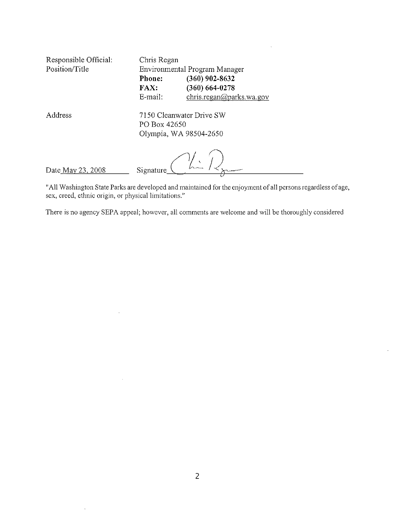| Responsible Official:<br>Position/Title | Chris Regan<br>Environmental Program Manager |                                        |  |  |
|-----------------------------------------|----------------------------------------------|----------------------------------------|--|--|
|                                         | <b>Phone:</b><br>FAX:                        | $(360)$ 902-8632<br>$(360) 664 - 0278$ |  |  |
|                                         | E-mail:                                      | chris.regan@parks.wa.gov               |  |  |
| Address                                 | 7150 Cleanwater Drive SW<br>PO Box 42650     |                                        |  |  |
|                                         | Olympia, WA 98504-2650                       |                                        |  |  |
|                                         |                                              |                                        |  |  |
| Date May 23, 2008                       | Signature                                    |                                        |  |  |

 $\cdot$ 

 $\sim$ 

 $\bar{z}$ 

"All V/ashington State Parks are developed and maintained for the enjoyment of all persons regardless of age, sex, creed, ethnic origin, or physical limitations."

There is no agency SEPA appeal; however, all comments are welcome and will be thoroughly considered

 $\bar{z}$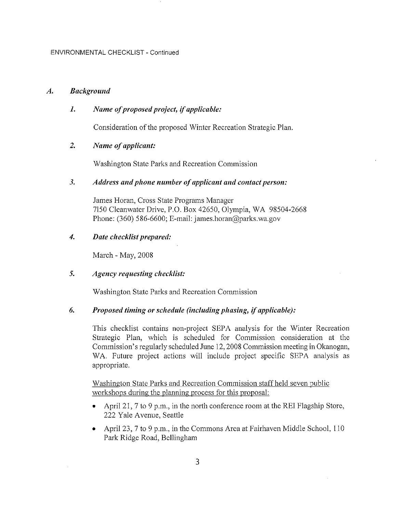#### A, Bøckground

# 1. Name of proposed project, if applicable:

Consideration of the proposed Winter Recreation Strategic Plan.

### 2. Name of applicant:

Washington State Parks and Recreation Commission

#### 3. Address and phone number of applicant and contact person:

James Horan, Cross State Programs Manager 7150 Cleanwater Drive, P.O. Box 42650, Olympia, WA 98504-2668 Phone: (360) 586-6600; E-mail: james.horan@parks.wa.gov

### 4. Date checklist prepared:

March - May, 2008

### 5. Agency requesting checklíst:

Washington State Parks and Recreation Commission

#### 6. Proposed timìng or schedule (ìnctuding phasìng, íf applícøble):

This checklist contains non-project SEPA analysis for the Winter Recreation Strategic Plan, which is scheduled for Commission consideration at the Commission's regularly scheduled June 12, 2008 Commission meeting in Okanogan, WA. Future project actions will include project specific SEPA analysis as appropriate.

Washington State Parks and Recreation Commission staff held seven public workshops during the planning process for this proposal:

- . April 21,7 to 9 p.m., in the north conference room at the REI Flagship Store, 222 Y ale Avenue, Seattle
- . April 23,7 to 9 p.m., in the Commons Area at Fairhaven Middle School, I l0 Park Ridge Road, Bellingham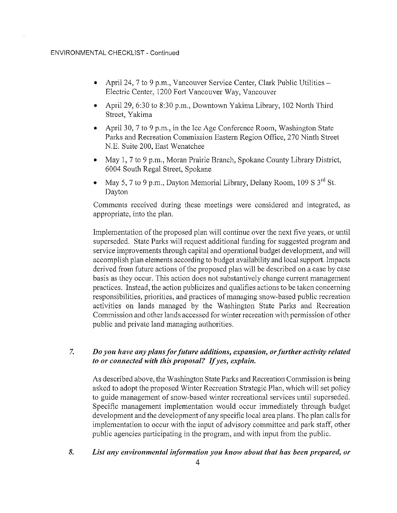#### ENVIRONMENTAL CHECKLIST - Continued

- April 24, 7 to 9 p.m., Vancouver Service Center, Clark Public Utilities Electric Center, 1200 Fort Vancouver Way, Vancouver
- . April 29,6:30 to 8:30 p.m., Downtown Yakima Library, 102 North Third Street, Yakima
- April 30, 7 to 9 p.m., in the Ice Age Conference Room, Washington State Parks and Recreation Commission Eastern Region Office,270 Ninth Street N.E. Suite 200, East Wenatchee
- . May 1,7 to 9 p.m., Moran Prairie Branch, Spokane County Library District, 6004 South Regal Street, Spokane
- May 5, 7 to 9 p.m., Dayton Memorial Library, Delany Room,  $109 S 3<sup>rd</sup> St.$ Dayton

Comments received during these meetings were considered and integrated, as appropriate, into the plan.

Implementation of the proposed plan will continue over the next five years, or until superseded. State Parks will request additional funding for suggested program and service improvements through capital and operational budget development, and will accomplish plan elements according to budget availability and local support. Impacts derived from future actions of the proposed plan will be described on a case by case basis as they occur. This action does not substantively change current management practices. Instead, the action publicizes and qualifies actions to be taken concerning responsibilities, priorities, and practices of managing snow-based public recreation activities on lands managed by the Washington State Parks and Recreation Commission and other lands accessed for winter recreation with permission of other public and private land managing authorities.

#### Do you have any plans for future additions, expansion, or further activity related to or connected wíth thís proposøl? If yes, explaín. 7.

As described above, the Washington State Parks and Recreation Commission is being asked to adopt the proposed Winter Recreation Strategic Plan, which will set policy to guide management of snow-based winter recreational services until superseded. Specific management implementation would occur immediately through budget development and the development of any specific local area plans. The plan calls for implementation to occur with the input of advisory committee and park staff, other public agencies participating in the program, and with input from the public.

#### List any environmental information you know about that has been prepared, or 8.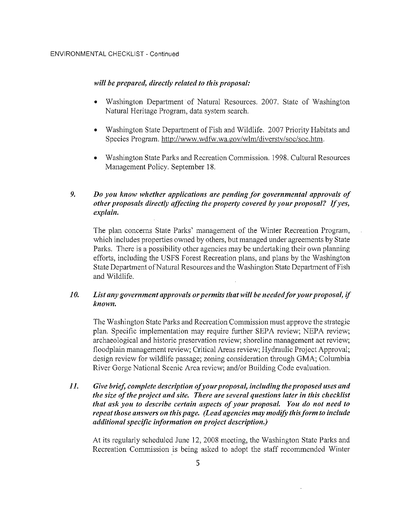## will be prepared, directly related to this proposal:

- Washington Department of Natural Resources. 2007. State of Washington  $\bullet$ Natural Heritage Program, data system search.
- Washington State Department of Fish and Wildlife. 2007 Priority Habitats and  $\bullet$ Species Program. http://www.wdfw.wa.gov/wlm/diversty/soc/soc.htm.
- Washington State Parks and Recreation Commission. 1998. Cultural Resources Management Policy. September 18.

#### 9. Do you know whether applications are pending for governmental approvals of other proposals directly affecting the property covered by your proposal? If yes, explain.

The plan concerns State Parks' management of the Winter Recreation Program, which includes properties owned by others, but managed under agreements by State Parks. There is a possibility other agencies may be undertaking their own planning efforts, including the USFS Forest Recreation plans, and plans by the Washington State Department of Natural Resources and the Washington State Department of Fish and Wildlife.

#### 10. List any government approvals or permits that will be needed for your proposal, if known.

The Washington State Parks and Recreation Commission must approve the strategic plan. Specific implementation may require further SEPA review; NEPA review; archaeological and historic preservation review; shoreline management act review; floodplain management review; Critical Areas review; Hydraulic Project Approval; design review for wildlife passage; zoning consideration through GMA; Columbia River Gorge National Scenic Area review; and/or Building Code evaluation.

#### $II.$ Give brief, complete description of your proposal, including the proposed uses and the size of the project and site. There are several questions later in this checklist that ask you to describe certain aspects of your proposal. You do not need to repeat those answers on this page. (Lead agencies may modify this form to include additional specific information on project description.)

At its regularly scheduled June 12, 2008 meeting, the Washington State Parks and Recreation Commission is being asked to adopt the staff recommended Winter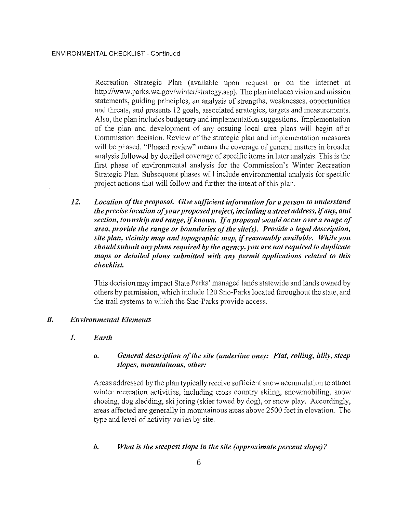Recreation Strategic Plan (available upon request or on the internet at http://www.parks.wa.gov/winter/strategy.asp). The plan includes vision and mission statements, guiding principles, an analysis of strengths, weaknesses, opportunities and threats, and presents 12 goals, associated strategies, targets and measurements. Also, the plan includes budgetary and implementation suggestions. Implementation of the plan and development of any ensuing local area plans will begin after Commission decision. Review of the strategic plan and implementation measures will be phased. "Phased review" means the coverage of general matters in broader analysis followed by detailed coverage of specific items in later analysis. This is the first phase of environmental analysis for the Commission's Winter Recreation Strategic Plan. Subsequent phases will include environmental analysis for specific project actions that will follow and further the intent of this plan.

 $12.$ Location of the proposal. Give sufficient information for a person to understand the precise location of your proposed project, including a street address, if any, and section, township and range, if known. If a proposal would occur over a range of area, provide the range or boundaries of the site(s). Provide a legal description. site plan, vicinity map and topographic map, if reasonably available. While you should submit any plans required by the agency, you are not required to duplicate maps or detailed plans submitted with any permit applications related to this checklist.

This decision may impact State Parks' managed lands statewide and lands owned by others by permission, which include 120 Sno-Parks located throughout the state, and the trail systems to which the Sno-Parks provide access.

#### $B$ . **Environmental Elements**

 $I_{\bullet}$ Earth

#### General description of the site (underline one): Flat, rolling, hilly, steep  $\mathfrak{a}.$ slopes, mountainous, other:

Areas addressed by the plan typically receive sufficient snow accumulation to attract winter recreation activities, including cross country skiing, snowmobiling, snow shoeing, dog sledding, ski joring (skier towed by dog), or snow play. Accordingly, areas affected are generally in mountainous areas above 2500 feet in elevation. The type and level of activity varies by site.

#### b. What is the steepest slope in the site (approximate percent slope)?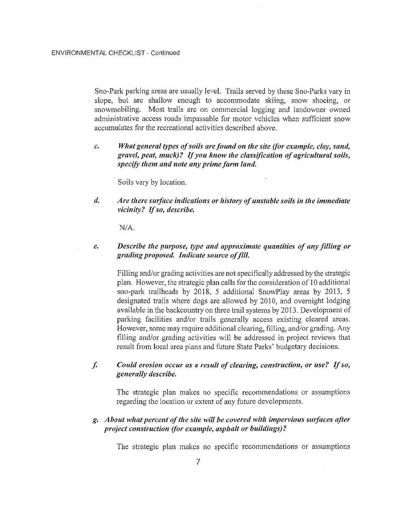Sno-Park parking areas are usually level. Trails served by these Sno-Parks vary in slope, but are shallow enough to accommodate skiing, snow shoeing, or snowmobiling. Most trails are on commercial logging and landowner owned administrative access roads impassable for motor vehicles when sufficient snow accumulates for the recreational activities described above.

What general types of soils are found on the site (for example, clay, sand,  $\mathcal{C}$ . gravel, peat, muck)? If you know the classification of agricultural soils, specify them and note any prime farm land.

Soils vary by location.

Are there surface índicatíons or hístory of unstable soíls ín the ímmediate vicinity? If so, describe. d.

N/A.

 $\ell$ . Describe the purpose, type and approximate quantities of any filling or grading proposed. Indicate source of fill.

Filling and/or grading activities are not specifically addressed by the strategic plan. However, the strategic plan calls for the consideration of l0 additional sno-park trailheads by 2018, 5 additional SnowPlay areas by 2013, 5 designated trails where dogs are allowed by 2010, and overnight lodging available in the backcountry on three trail systems by 2013. Development of parking facilities and/or trails generally access existing cleared areas. However, some may require additional clearing, filling, and/or grading. Any filling and/or grading activities will be addressed in project reviews that result from local area plans and future State Parks' budgetary decisions.

Could erosíon occur øs a result of cleøríng, constructíon, or use? If so, generally describe,  $f<sub>•</sub>$ 

The strategic plan makes no specific recommendations or assumptions regarding the location or extent of any future developments.

g. About what percent of the site will be covered with impervious surfaces after project constructíon (for exømple, asphalt or buildíngs)?

The strategic plan makes no specific recommendations or assumptions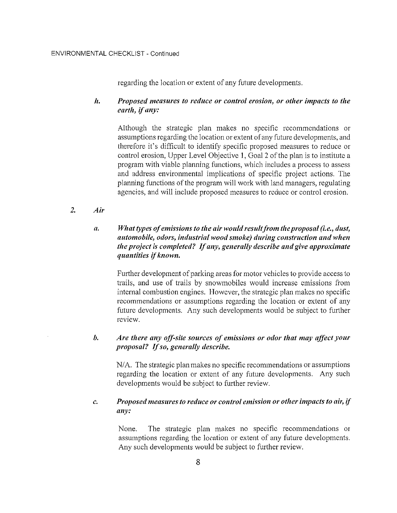regarding the location or extent of any future developments.

## h. Proposed measures to reduce or control erosíon, or other ìmpacts to the earth, íf any:

Although the strategic plan makes no specific recommendations or assumptions regarding the location or extent of any future developments, and therefore it's difficult to identify specific proposed measures to reduce or control erosion, Upper Level Objective l, Goal 2 of the plan is to institute a program with viable planning functions, which includes a process to assess and address environmental implications of specific project actions. The planning functions of the program will work with land managers, regulating agencies, and will include proposed measures to reduce or control erosion.

2. Aír

#### $\mathfrak{a}.$ What types of emissions to the air would result from the proposal (i.e., dust, automobile, odors, industrìal wood smoke) durìng construction ønd when the project is completed? If any, generally describe and give approximate quantities if known.

Further development of parking areas for motor vehicles to provide access to trails, and use of trails by snowmobiles would increase emissions from internal combustion engines. However, the strategic plan makes no specific recommendations or assumptions regarding the location or extent of any future developments. Any such developments would be subject to further review.

#### b. Are there any off-site sources of emissions or odor that may affect your proposal? If so, generally describe.

N/4. The strategic plan makes no specific recommendations or assumptions regarding the location or extent of any future developments. Any such developments would be subject to further review.

#### Proposed measures to reduce or control emission or other impacts to air, if øny: c.

None. The strategic plan makes no specific recommendations or assumptions regarding the location or extent of any future developments. Any such developments would be subject to further review.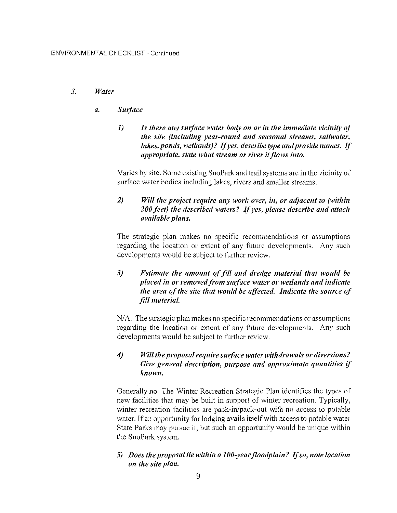#### 3. Water

#### ø. Surface

l) Is there any surføce wøter body on or ín the immedíate víciníty of the síte (íncludíng yeør-round ønd seasonal streams, saltwater, lakes, ponds, wetlands)? If yes, describe type and provide names. If appropriate, state what stream or river it flows into.

Varies by site. Some existing SnoPark and trail systems are in the vicinity of surface water bodies including lakes, rivers and smaller streams.

## $2$ ) Will the project require any work over, in, or adjacent to (within 200 feet) the described waters? If yes, please describe and attach avøíløble pløns,

The strategic plan makes no specific recommendations or assumptions regarding the location or extent of any future developments. Any such developments would be subject to further review.

## 3) Estimate the amount of fill and dredge material that would be placed in or removed from surface water or wetlands and indicate the area of the site that would be affected. Indicate the source of fill material.

N/4. The strategic plan makes no specific recommendations or assumptions regarding the location or extent of any future developments. Any such developments would be subject to further review.

## 4) Will the proposal require surface water withdrawals or diversions? Gíve general descríptíon, purpose and approxìmate quantítíes íf known,

Generally no. The Winter Recreation Strategic Plan identifies the types of new facilities that may be built in support of winter recreation. Typically, winter recreation facilities are pack-in/pack-out with no access to potable water. If an opportunity for lodging avails itself with access to potable water State Parks may pursue it, but such an opportunity would be unique within the SnoPark system.

### 5) Does the proposal lie within a 100-year floodplain? If so, note location on the site plan.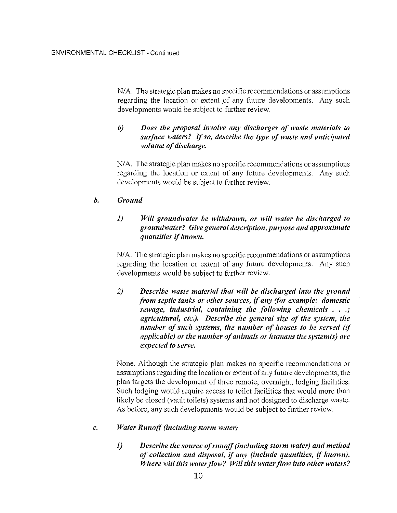N/A. The strategic plan makes no specific recommendations or assumptions regarding the location or extent of any future developments. Any such developments would be subject to further review.

# 6) Does the proposal involve any discharges of waste materials to surface waters? If so, describe the type of waste and anticipated volume of discharge,

N/A. The strategic plan makes no specific recommendations or assumptions regarding the location or extent of any future developments. Any such developments would be subject to further review.

#### b. Ground

# 1) Will groundwater be withdrawn, or will water be discharged to groundwøter? Give general descrìption, purpose and approxímøte quøntítíes ìf known.

N/4. The strategic plan makes no specific recommendations or assumptions regarding the location or extent of any future developments. Any such developments would be subject to further review.

2) Describe waste material that will be discharged into the ground from septic tanks or other sources, tf øny (for example: domestìc sewage, industrial, containing the following chemicals  $, \cdot, \cdot$ øgrícultural, etc), Describe the general síze of the system, the number of such systems, the number of houses to be served (if applicable) or the number of animals or humans the system(s) are expected to serve.

None. Although the strategic plan makes no specific recommendations or assumptions regarding the location or extent of any future developments, the plan targets the development of three remote, overnight, lodging facilities. Such lodging would require access to toilet facilities that would more than likely be closed (vault toilets) systems and not designed to discharge waste. As before, any such developments would be subject to further review.

#### Water Runoff (including storm water) c.

1) Descríbe the source of runoff (íncludíng storm water) ønd method of collection and disposal, if any (include quantities, if known). Where will this water flow? Will this water flow into other waters?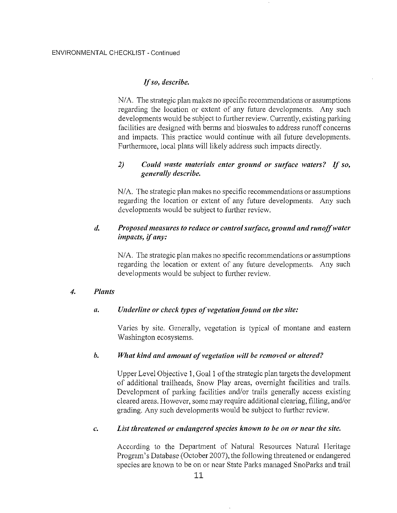### Ifso, descríbe.

N/4. The strategic plan makes no specific recommendations or assumptions regarding the location or extent of any future developments. Any such developments would be subject to further review. Curently, existing parking facilities are designed with berms and bioswales to address runoff concerns and impacts. This practice would continue with all future developments. Furthermore, local plans will likely address such impacts directly.

## $2)$  Could waste materials enter ground or surface waters? If so, generally describe,

N/4. The strategic plan makes no specific recommendations or assumptions regarding the location or extent of any future developments. Any such developments would be subject to further review.

# d, Proposed meosures to reduce or control surface, ground and runoff water ímpacts, if any:

N/4. The strategic plan makes no specific recommendations or assumptions regarding the location or extent of any future developments. Any such developments would be subject to further review.

#### PIants 4.

#### Underline or check types of vegetation found on the site:  $\mathfrak{a}.$

Varies by site. Generally, vegetation is typical of montane and eastern Washington ecosystems.

#### What kind and amount of vegetation will be removed or altered? b.

Upper Level Objective 1, Goal I of the strategic plan targets the development of additional trailheads, Snow Play areas, overnight facilities and trails. Development of parking facilities and/or trails generally access existing cleared areas. However, some may require additional clearing, filling, and/or grading. Any such developments would be subject to further review.

#### List threatened or endangered species known to be on or near the site. c.

According to the Department of Natural Resources Natural Heritage Program's Database (October 2007), the following threatened or endangered species are known to be on or near State Parks managed SnoParks and trail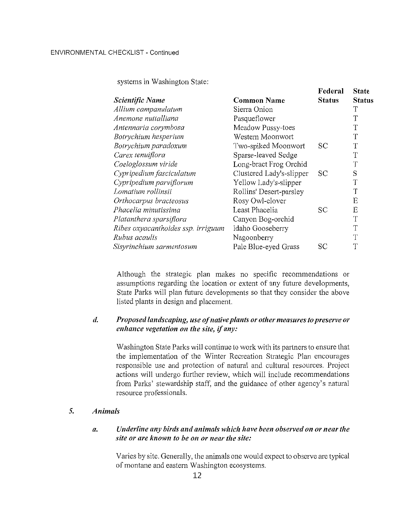systems in Washington State:

|                                    |                          | тепетат       | wiait         |
|------------------------------------|--------------------------|---------------|---------------|
| Scientific Name                    | <b>Common Name</b>       | <b>Status</b> | <b>Status</b> |
| Allium campanulatum                | Sierra Onion             |               | Т             |
| Anemone nuttalliana                | Pasqueflower             |               | T             |
| Antennaria corymbosa               | Meadow Pussy-toes        |               | T             |
| Botrychium hesperium               | Western Moonwort         |               | Τ             |
| Botrychium paradoxum               | Two-spiked Moonwort      | SC            | T             |
| Carex tenuiflora                   | Sparse-leaved Sedge      |               | T             |
| Coeloglossum viride                | Long-bract Frog Orchid   |               | T             |
| Cypripedium fasciculatum           | Clustered Lady's-slipper | <b>SC</b>     | S             |
| Cypripedium parviflorum            | Yellow Lady's-slipper    |               | T             |
| Lomatium rollinsii                 | Rollins' Desert-parsley  |               | T             |
| Orthocarpus bracteosus             | Rosy Owl-clover          |               | Ë             |
| Phacelia minutissima               | Least Phacelia           | SC            | E             |
| Platanthera sparsiflora            | Canyon Bog-orchid        |               | T             |
| Ribes oxyacanthoides ssp. irriguum | Idaho Gooseberry         |               | T             |
| Rubus acaulis                      | Nagoonberry              |               | T             |
| Sisyrinchium sarmentosum           | Pale Blue-eyed Grass     | SС            | T             |
|                                    |                          |               |               |

Federal State

Although the strategic plan makes no specific recommendations or assumptions regarding the location or extent of any future developments, State Parks will plan future developments so that they consider the above listed plants in design and placement.

#### d. Proposed landscaping, use of native plants or other measures to preserve or enhance vegetation on the site, íf øny:

Washington State Parks will continue to work with its partners to ensure that the implementation of the Winter Recreation Strategic Plan encourages responsible use and protection of natural and cultural resources. Project actions will undergo further review, which will include recommendations from Parks' stewardship staff, and the guidance of other agency's natural resource professionals.

#### J. Animøls

#### Underline any birds and animals whích have been observed on or neør the α. site or are known to be on or near the site:

Varies by site. Generally, the animals one would expect to observe are typical of montane and eastern Washington ecosystems.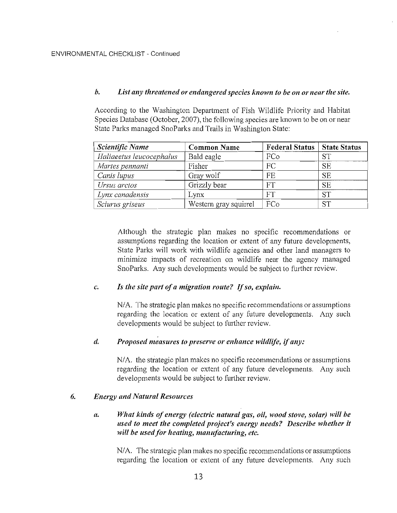#### $\mathbf{b}$ . List any threatened or endangered species known to be on or near the site.

According to the Washington Department of Fish Wildlife Priority and Habitat Species Database (October, 2007), the following species are known to be on or near State Parks managed SnoParks and Trails in Washington State:

| Scientific Name          | <b>Common Name</b>    | <b>Federal Status</b> | <b>State Status</b> |
|--------------------------|-----------------------|-----------------------|---------------------|
| Haliaeetus leucocephalus | Bald eagle            | FCo                   | <b>ST</b>           |
| Martes pennanti          | Fisher                | FC                    | <b>SE</b>           |
| Canis lupus              | Gray wolf             | FE                    | <b>SE</b>           |
| Ursus arctos             | Grizzly bear          | FT                    | <b>SE</b>           |
| Lynx canadensis          | Lynx                  | <b>FT</b>             | <b>ST</b>           |
| Sciurus griseus          | Western gray squirrel | FCo                   | <b>ST</b>           |

Although the strategic plan makes no specific recommendations or assumptions regarding the location or extent of any future developments. State Parks will work with wildlife agencies and other land managers to minimize impacts of recreation on wildlife near the agency managed SnoParks. Any such developments would be subject to further review.

#### $\mathcal{C}$ . Is the site part of a migration route? If so, explain.

N/A. The strategic plan makes no specific recommendations or assumptions regarding the location or extent of any future developments. Any such developments would be subject to further review.

#### $\overline{d}$ . Proposed measures to preserve or enhance wildlife, if any:

N/A, the strategic plan makes no specific recommendations or assumptions regarding the location or extent of any future developments. Any such developments would be subject to further review.

#### 6. **Energy and Natural Resources**

#### What kinds of energy (electric natural gas, oil, wood stove, solar) will be  $\alpha$ . used to meet the completed project's energy needs? Describe whether it will be used for heating, manufacturing, etc.

N/A. The strategic plan makes no specific recommendations or assumptions regarding the location or extent of any future developments. Any such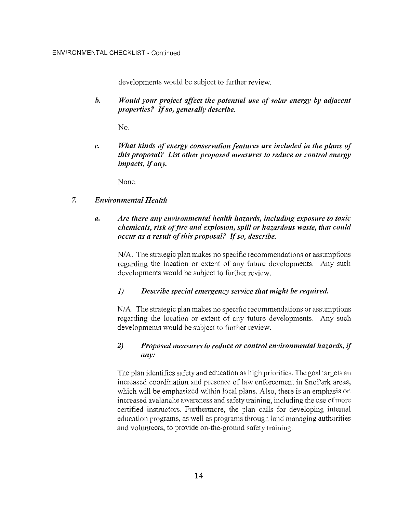developments would be subject to further review.

 $h.$ Would vour project affect the potential use of solar energy by adjacent properties? If so, generally describe.

 $N_{\Omega}$ 

What kinds of energy conservation features are included in the plans of  $\mathfrak{c}$ . this proposal? List other proposed measures to reduce or control energy impacts, if any.

None.

#### $7.$ **Environmental Health**

#### Are there any environmental health hazards, including exposure to toxic  $\mathfrak{a}.$ chemicals, risk of fire and explosion, spill or hazardous waste, that could occur as a result of this proposal? If so, describe.

N/A. The strategic plan makes no specific recommendations or assumptions regarding the location or extent of any future developments. Any such developments would be subject to further review.

#### $\mathcal{I}$ Describe special emergency service that might be required.

N/A. The strategic plan makes no specific recommendations or assumptions regarding the location or extent of any future developments. Any such developments would be subject to further review.

#### $2)$ Proposed measures to reduce or control environmental hazards, if any:

The plan identifies safety and education as high priorities. The goal targets an increased coordination and presence of law enforcement in SnoPark areas, which will be emphasized within local plans. Also, there is an emphasis on increased avalanche awareness and safety training, including the use of more certified instructors. Furthermore, the plan calls for developing internal education programs, as well as programs through land managing authorities and volunteers, to provide on-the-ground safety training.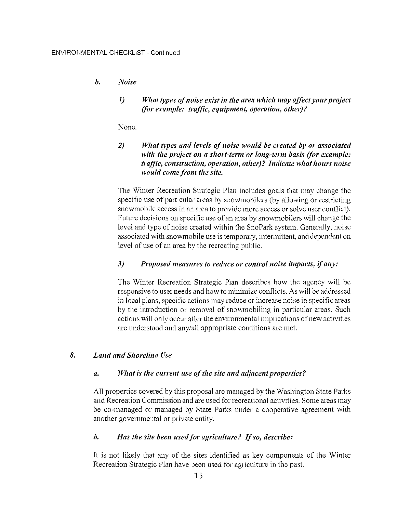#### $\mathbf{b}$ . **Noise**

 $I)$ What types of noise exist in the area which may affect your project (for example: traffic, equipment, operation, other)?

None.

#### $2)$ What types and levels of noise would be created by or associated with the project on a short-term or long-term basis (for example: traffic, construction, operation, other)? Indicate what hours noise would come from the site.

The Winter Recreation Strategic Plan includes goals that may change the specific use of particular areas by snowmobilers (by allowing or restricting snowmobile access in an area to provide more access or solve user conflict). Future decisions on specific use of an area by snowmobilers will change the level and type of noise created within the SnoPark system. Generally, noise associated with snowmobile use is temporary, intermittent, and dependent on level of use of an area by the recreating public.

#### $3)$ Proposed measures to reduce or control noise impacts, if any:

The Winter Recreation Strategic Plan describes how the agency will be responsive to user needs and how to minimize conflicts. As will be addressed in local plans, specific actions may reduce or increase noise in specific areas by the introduction or removal of snowmobiling in particular areas. Such actions will only occur after the environmental implications of new activities are understood and any/all appropriate conditions are met.

#### 8. **Land and Shoreline Use**

#### What is the current use of the site and adjacent properties?  $\overline{a}$ .

All properties covered by this proposal are managed by the Washington State Parks and Recreation Commission and are used for recreational activities. Some areas may be co-managed or managed by State Parks under a cooperative agreement with another governmental or private entity.

#### $\mathbf{b}$ . Has the site been used for agriculture? If so, describe:

It is not likely that any of the sites identified as key components of the Winter Recreation Strategic Plan have been used for agriculture in the past.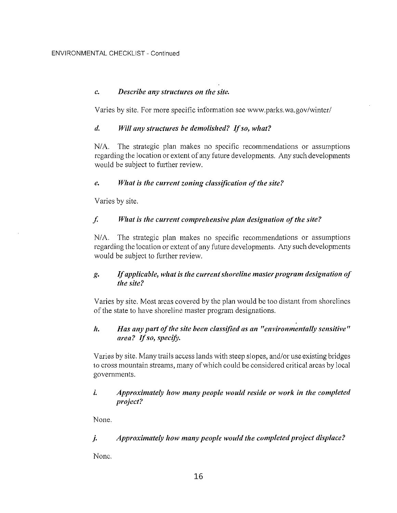### c. Descríbe any structures on the síte.

Varies by site. For more specific information see www.parks.wa.gov/winter/

#### d. Will any structures be demolished? If so, what?

N/A. The strategic plan makes no specific recommendations or assumptions regarding the location or extent of any future developments. Any such developments would be subject to further review.

### e. What is the current zoning classification of the site?

Varies by site.

### $f<sub>i</sub>$  What is the current comprehensive plan designation of the site?

N/4. The strategic plan makes no specific recommendations or assumptions regarding the location or extent of any future developments. Any such developments would be subject to further review.

## g. If applicable, what is the current shoreline master program designation of the síte?

Varies by site. Most areas covered by the plan would be too distant from shorelines of the state to have shoreline master program designations.

## h. Has any part of the site been classified as an "environmentally sensitive" ørea? If so, specìfy.

Varies by site. Many trails access lands with steep slopes, and/or use existing bridges to cross mountain streams, many of which could be considered critical areas by local governments.

## í, Approxímately how many people would resíde or work ín the completed project?

None.

# j. Approxímately how møny people would the completed project dísplace?

None.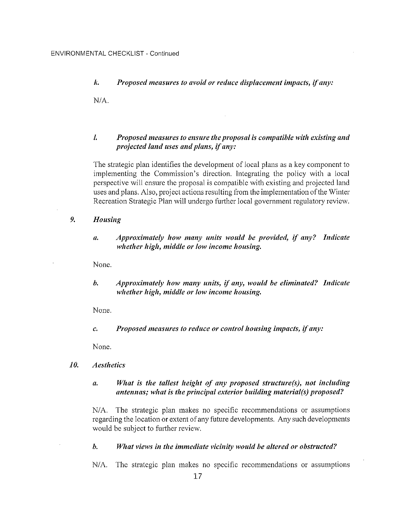#### k. Proposed measures to avoid or reduce displacement impacts, if any:

N/A.

### l. Proposed measures to ensure the proposal ís compatíble with exístíng and projected land uses and plans, if any:

The strategic plan identifies the development of local plans as a key component to implementing the Commission's direction. Integrating the policy with a local perspective will ensure the proposal is compatible with existing and projected land uses and plans. Also, project actions resulting from the implementation ofthe Winter Recreation Strategic Plan will undergo further local government regulatory review.

- Housing 9.
	- a, Approximøtely how møny uníts would be províded, íf any? Indícate whether high, middle or low income housing.

None.

b. Approximately how many units, if any, would be eliminated? Indicate whether high, middle or low income housing.

None.

Proposed measures to reduce or control housing impacts, if any:  $\overline{c}$ .

None.

- Aesthetícs 10.
	- ø, Whøt ís the tøllest heíght of øny proposed structure(s), not íncludìng antennas; what is the principal exterior building material(s) proposed?

N/4. The strategic plan makes no specific recommendations or assumptions regarding the location or extent of any future developments. Any such developments would be subject to further review.

#### b, What views in the immediate vicinity would be altered or obstructed?

N/4. The strategic plan makes no specific recommendations or assumptions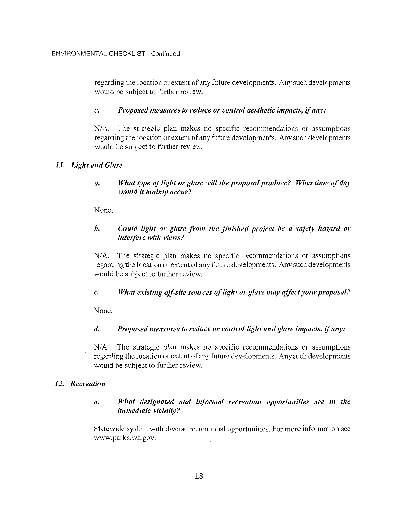ENVIRONMENTAL CHECKLIST - Continued

regarding the location or extent of any future developments. Any such developments would be subject to further review.

## c, Proposed measures to reduce or control aesthetic impacts, if any:

N/4. The strategic plan makes no specific recommendations or assumptions regarding the location or extent of any future developments. Any such developments would be subject to further review.

## 11. Light and Glare

a. What type of light or glare will the proposal produce? What time of day would it mainly occur?

None.

## b. Could light or glare from the finished project be a safety hazard or ínterfere with víews?

N/4. The strategic plan makes no specific recommendations or assumptions regarding the location or extent of any future developments. Any such developments would be subject to further review.

# c. What existing off-site sources of light or glare may affect your proposal?

None.

# d. Proposed measures to reduce or control light and glare impacts, if any:

N/A. The strategic plan makes no specific recommendations or assumptions regarding the location or extent of any future developments. Any such developments would be subject to further review.

# 12. Recreation

# a. What designated and informal recreation opportunities are in the immedíate vicíníty?

Statewide system with diverse recreational opportunities. For more information see www.parks.wa.gov.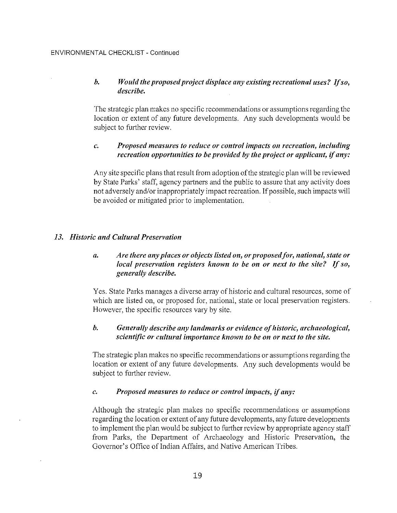## b. Would the proposed project displace any existing recreational uses? If so, describe.

The strategic plan makes no specific recommendations or assumptions regarding the location or extent of any future developments. Any such developments would be subject to further review.

## c. Proposed meøsures to reduce or control ímpacts on recreation, íncludíng recreation opportunities to be provided by the project or applicant, if any:

Any site specific plans that result from adoption ofthe strategic plan will be reviewed by State Parks' staff, agency partners and the public to assure that any activity does not adversely and/or inappropriately impact recreation. If possible, such impacts will be avoided or mitigated prior to implementation.

## 13. Historic and Cultural Preservation

## a. Are there any places or objects listed on, or proposed for, national, state or local preservation registers known to be on or next to the site? If so, generally describe.

Yes. State Parks manages a diverse array of historic and cultural resources, some of which are listed on, or proposed for, national, state or local preservation registers. However, the specific resources vary by site.

## b. Generally describe any landmarks or evidence of historic, archaeological, scíentífic or cultural ímportance known to be on or next to the site.

The strategic plan makes no specific recommendations or assumptions regarding the location or extent of any future developments. Any such developments would be subject to further review.

### c. Proposed measures to reduce or control ìmpøcts, if øny:

Although the strategic plan makes no specific recommendations or assumptions regarding the location or extent of any future developments, any future developments to implement the plan would be subject to further review by appropriate agency staff from Parks, the Department of Archaeology and Historic Preservation, the Governor's Office of Indian Affairs, and Native American Tribes.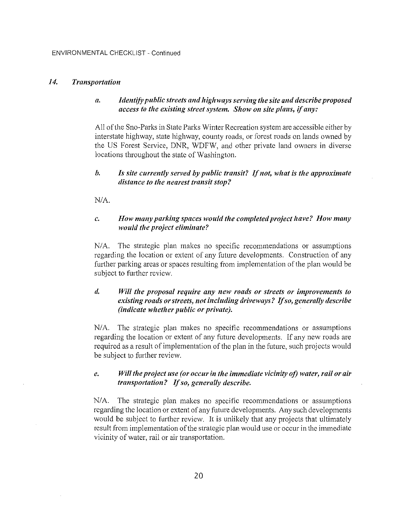#### 14. Trønsportatíon

#### a. Identífy publíc streets ønd híghways serving the síte and describe proposed access to the existing street system. Show on site plans, if any:

All of the Sno-Parks in State Parks Winter Recreation system are accessible either by interstate highway, state highway, county roads, or forest roads on lands owned by the US Forest Service, DNR, WDFW, and other private land owners in diverse locations throughout the state of Washington.

### b. Is site currently served by public transit? If not, what is the approximate distance to the nearest transit stop?

N/A.

#### c. How many parking spaces would the completed project have? How many would the project eliminate?

N/4. The strategic plan makes no specific recommendations or assumptions regarding the location or extent of any future developments. Construction of any further parking areas or spaces resulting from implementation of the plan would be subject to further review.

## d. Will the proposal require any new roads or streets or improvements to exísting roads or streets, not includíng driveways? If so, generally describe (indicate whether public or private).

N/4. The strategic plan makes no specific recommendations or assumptions regarding the location or extent of any future developments. If any new roads are required as a result of implementation of the plan in the future, such projects would be subject to further review.

#### e. Will the project use (or occur in the immediate vicinity of) water, rail or air transportation? If so, generally describe.

N/4. The strategic plan makes no specific recommendations or assumptions regarding the location or extent of any future developments. Any such developments would be subject to further review. It is unlikely that any projects that ultimately result from implementation of the strategic plan would use or occur in the immediate vicinity of water, rail or air transportation.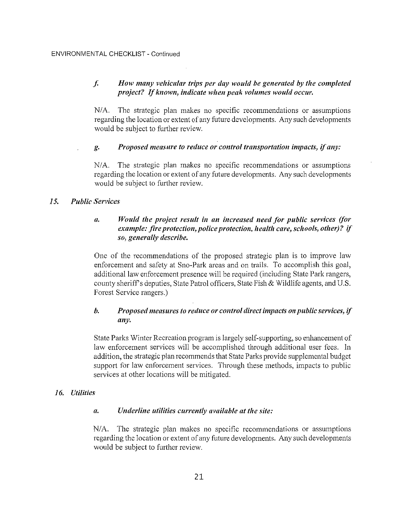#### $f_{\star}$ How many vehicular trips per day would be generated by the completed project? If known, indicate when peak volumes would occur.

 $N/A$ . The strategic plan makes no specific recommendations or assumptions regarding the location or extent of any future developments. Any such developments would be subject to further review.

#### Proposed measure to reduce or control transportation impacts, if any: g.

 $N/A$ . The strategic plan makes no specific recommendations or assumptions regarding the location or extent of any future developments. Any such developments would be subject to further review.

#### $15.$ **Public Services**

#### Would the project result in an increased need for public services (for  $\boldsymbol{a}$ . example: fire protection, police protection, health care, schools, other)? if so, generally describe.

One of the recommendations of the proposed strategic plan is to improve law enforcement and safety at Sno-Park areas and on trails. To accomplish this goal, additional law enforcement presence will be required (including State Park rangers, county sheriff's deputies, State Patrol officers, State Fish & Wildlife agents, and U.S. Forest Service rangers.)

#### $\mathbf{b}$ . Proposed measures to reduce or control direct impacts on public services, if any.

State Parks Winter Recreation program is largely self-supporting, so enhancement of law enforcement services will be accomplished through additional user fees. In addition, the strategic plan recommends that State Parks provide supplemental budget support for law enforcement services. Through these methods, impacts to public services at other locations will be mitigated.

# 16. Utilities

#### Underline utilities currently available at the site:  $\mathfrak{a}.$

N/A. The strategic plan makes no specific recommendations or assumptions regarding the location or extent of any future developments. Any such developments would be subject to further review.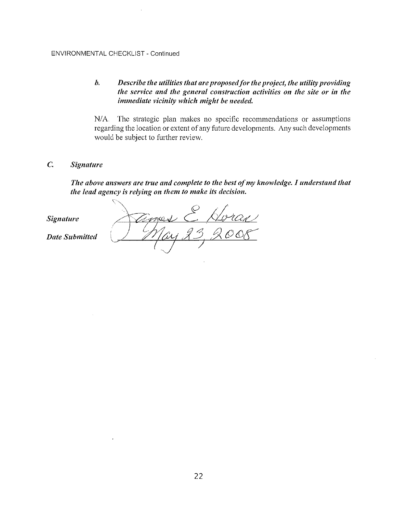# b. Describe the utilities that are proposed for the project, the utility providing the service and the general constructíon actívítíes on the síte or ín the ímmedíøte viciníty whích míght be needed,

N/4. The strategic plan makes no specific recommendations or assumptions regarding the location or extent of any future developments. Any such developments would be subject to further review.

## C, Signøture

The above answers are true and complete to the best of my knowledge. I understand that the lead agency is relying on them to make its decision.

amost Sígnøture  $83$ Date Submítted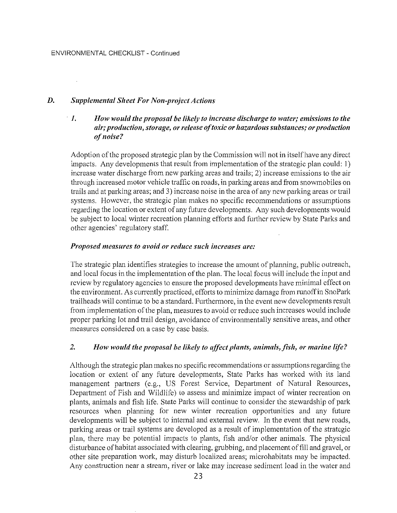#### D. Supplemental Sheet For Non-project Actíons

## 1. How would the proposal be líkely to íncreøse díscharge to water; emìssions to the air; production, storage, or release of toxic or hazardous substances; or production of noíse?

Adoption of the proposed strategic plan by the Commission will not in itself have any direct impacts. Any developments that result from implementation of the strategic plan could: 1) increase water discharge from new parking areas and trails; 2) increase emissions to the air through increased motor vehicle traffic on roads, in parking areas and from snowmobiles on trails and at parking areas; and 3) increase noise in the area ofany new parking areas or trail systems. However, the strategic plan makes no specific recommendations or assumptions regarding the location or extent of any future developments. Any such developments would be subject to local winter recreation planning efforts and fuither review by State Parks and other agencies' regulatory staff.

#### Proposed measures to avoid or reduce such increases are:

The strategic plan identifies strategies to increase the amount of planning, public outreach, and local focus in the implementation of the plan. The local focus will include the input and review by regulatory agencies to ensure the proposed developments have minimal effect on the environment. As currently practiced, efforts to minimize damage from runoff in SnoPark trailheads will continue to be a standard. Furthermore, in the event new developments result from implementation of the plan, measures to avoid or reduce such increases would include proper parking lot and trail design, avoidance of environmentally sensitive areas, and other measures considered on a case by case basis.

#### 2. How would the proposal be likely to affect plants, animals, fish, or marine life?

Although the strategic plan makes no specific recommendations or assumptions regarding the location or extent of any future developments, State Parks has worked with its land management partners (e.g., US Forest Service, Department of Natural Resources, Department of Fish and Wildlife) to assess and minimize impact of winter recreation on plants, animals and fish life. State Parks will continue to consider the stewardship of park resources when planning for new winter recreation opportunities and any future developments will be subject to internal and external review. In the event that new roads, parking areas or trail systems are developed as a result of implementation of the strategic plan, there may be potential impacts to plants, fish and/or other animals. The physical disturbance of habitat associated with clearing, grubbing, and placement of fill and gravel, or other site preparation work, may disturb localized areas; microhabitats may be impacted. Any construction near a stream, river or lake may increase sediment load in the water and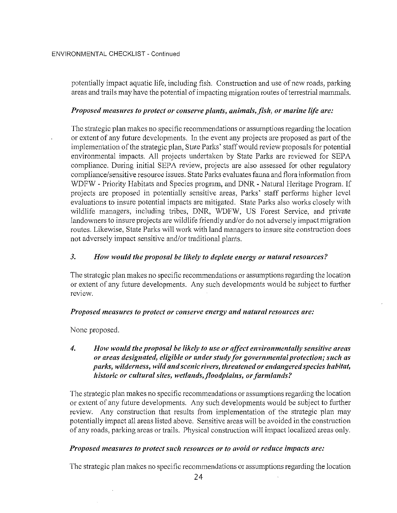potentially impact aquatic life, including fish. Construction and use of new roads, parking areas and trails may have the potential of impacting migration routes of terrestrial mammals.

#### Proposed measures to protect or conserve plants, animals, fish, or marine life are:

The strategic plan makes no specific recommendations or assumptions regarding the location or extent of any future developments. In the event any projects are proposed as part of the implementation of the strategic plan, State Parks' staff would review proposals for potential environmental impacts. All projects undertaken by State Parks are reviewed for SEPA compliance. During initial SEPA review, projects are also assessed for other regulatory compliance/sensitive resource issues. State Parks evaluates fauna and flora information from WDFW - Priority Habitats and Species program, and DNR - Natural Heritage Program. If projects are proposed in potentially sensitive areas, Parks' staff performs higher level evaluations to insure potential impacts are mitigated. State Parks also works closely with wildlife managers, including tribes, DNR, WDFW, US Forest Service, and private landowners to insure projects are wildlife friendly and/or do not adversely impact migration routes. Likewise, State Parks will work with land managers to insure site construction does not adversely impact sensitive and/or traditional plants.

#### $\overline{3}$ . How would the proposal be likely to deplete energy or natural resources?

The strategic plan makes no specific recommendations or assumptions regarding the location or extent of any future developments. Any such developments would be subject to further review.

#### Proposed measures to protect or conserve energy and natural resources are:

None proposed.

#### $\overline{4}$ . How would the proposal be likely to use or affect environmentally sensitive areas or areas designated, eligible or under study for governmental protection; such as parks, wilderness, wild and scenic rivers, threatened or endangered species habitat, historic or cultural sites, wetlands, floodplains, or farmlands?

The strategic plan makes no specific recommendations or assumptions regarding the location or extent of any future developments. Any such developments would be subject to further review. Any construction that results from implementation of the strategic plan may potentially impact all areas listed above. Sensitive areas will be avoided in the construction of any roads, parking areas or trails. Physical construction will impact localized areas only.

### Proposed measures to protect such resources or to avoid or reduce impacts are:

The strategic plan makes no specific recommendations or assumptions regarding the location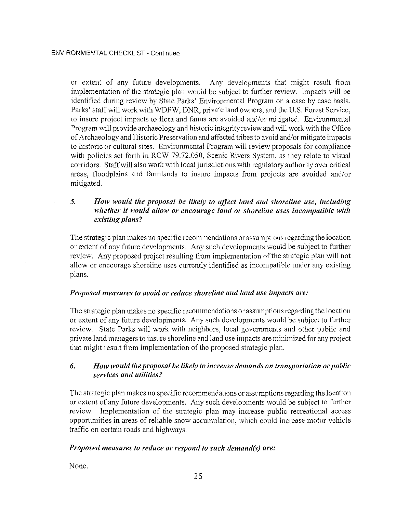or extent of any future developments. Any developments that might result from implementation of the strategic plan would be subject to further review. Impacts will be identifred during review by State Parks' Environmental Program on a case by case basis. Parks' staff will work with WDFW, DNR, private land owners, and the U.S. Forest Service, to insure project impacts to flora and fauna are avoided and/or mitigated. Environmental Program will provide archaeology and historic integrity review and will work with the Office of Archaeology and Historic Preservation and affected tribes to avoid and/or mitigate impacts to historic or cultural sites. Environmental Program will review proposals for compliance with policies set forth in RCW 79.72.050, Scenic Rivers System, as they relate to visual coridors. Staff will also work with local jurisdictions with regulatory authority over critical areas, floodplains and farmlands to insure impacts from projects are avoided and/or mitigated.

## 5. How would the proposal be likely to affect land and shoreline use, including whether it would allow or encourage land or shoreline uses incompatible with existìng plans?

The strategic plan makes no specific recommendations or assumptions regarding the location or extent of any future developments. Any such developments would be subject to further review. Any proposed project resulting from implementation of the strategic plan will not allow or encourage shoreline uses currently identified as incompatible under any existing plans.

### Proposed measures to avoid or reduce shoreline and land use impacts are:

The strategic plan makes no specific recommendations or assumptions regarding the location or extent of any future developments. Any such developments would be subject to further review. State Parks will work with neighbors, local governments and other public and private land managers to insure shoreline and land use impacts are minimized for any project that might result from implementation of the proposed strategic plan.

# $6.$  How would the proposal be likely to increase demands on transportation or public servìces and utílíties?

The strategic plan makes no specific recommendations or assumptions regarding the location or extent of any future developments. Any such developments would be subject to further review. Implementation of the strategic plan may increase public recreational access opportunities in areas of reliable snow accumulation, which could increase motor vehicle traffic on certain roads and highways.

# Proposed measures to reduce or respond to such demand(s) are:

None.